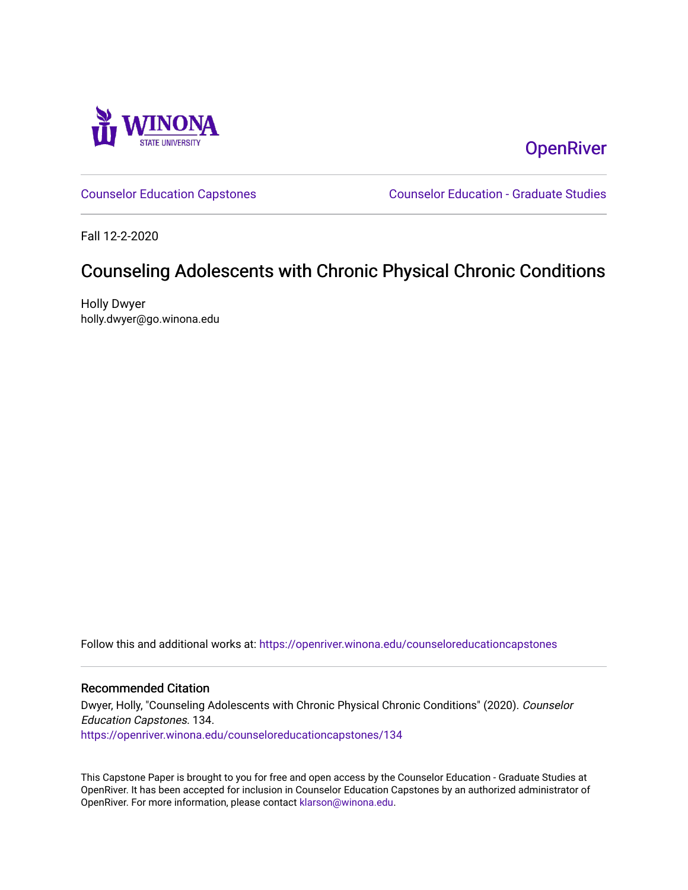

# **OpenRiver**

[Counselor Education Capstones](https://openriver.winona.edu/counseloreducationcapstones) [Counselor Education - Graduate Studies](https://openriver.winona.edu/counseloreducation) 

Fall 12-2-2020

# Counseling Adolescents with Chronic Physical Chronic Conditions

Holly Dwyer holly.dwyer@go.winona.edu

Follow this and additional works at: [https://openriver.winona.edu/counseloreducationcapstones](https://openriver.winona.edu/counseloreducationcapstones?utm_source=openriver.winona.edu%2Fcounseloreducationcapstones%2F134&utm_medium=PDF&utm_campaign=PDFCoverPages)

#### Recommended Citation

Dwyer, Holly, "Counseling Adolescents with Chronic Physical Chronic Conditions" (2020). Counselor Education Capstones. 134. [https://openriver.winona.edu/counseloreducationcapstones/134](https://openriver.winona.edu/counseloreducationcapstones/134?utm_source=openriver.winona.edu%2Fcounseloreducationcapstones%2F134&utm_medium=PDF&utm_campaign=PDFCoverPages)

This Capstone Paper is brought to you for free and open access by the Counselor Education - Graduate Studies at OpenRiver. It has been accepted for inclusion in Counselor Education Capstones by an authorized administrator of OpenRiver. For more information, please contact [klarson@winona.edu](mailto:klarson@winona.edu).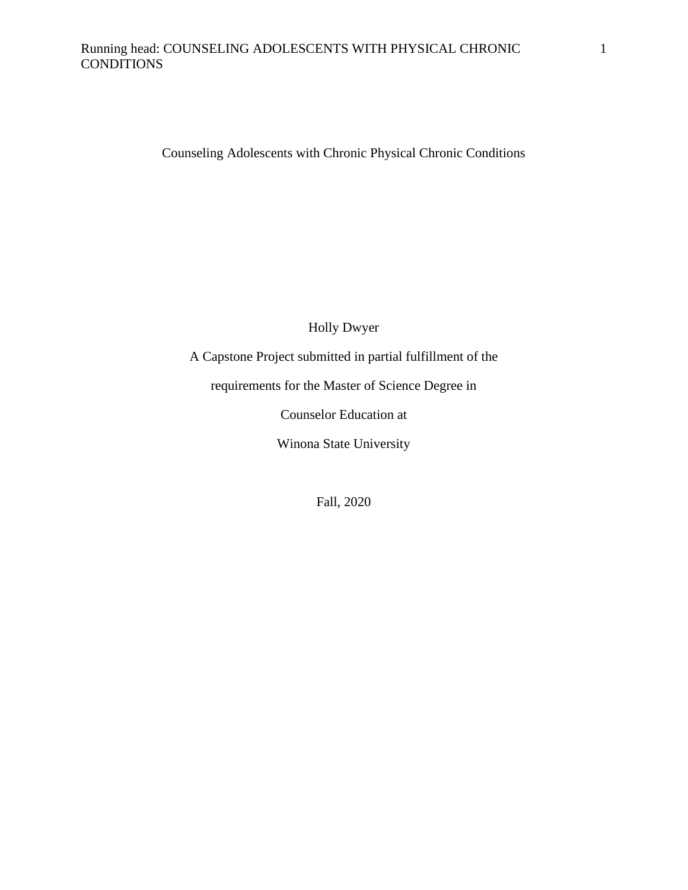## Running head: COUNSELING ADOLESCENTS WITH PHYSICAL CHRONIC **CONDITIONS**

Counseling Adolescents with Chronic Physical Chronic Conditions

Holly Dwyer

A Capstone Project submitted in partial fulfillment of the

requirements for the Master of Science Degree in

Counselor Education at

Winona State University

Fall, 2020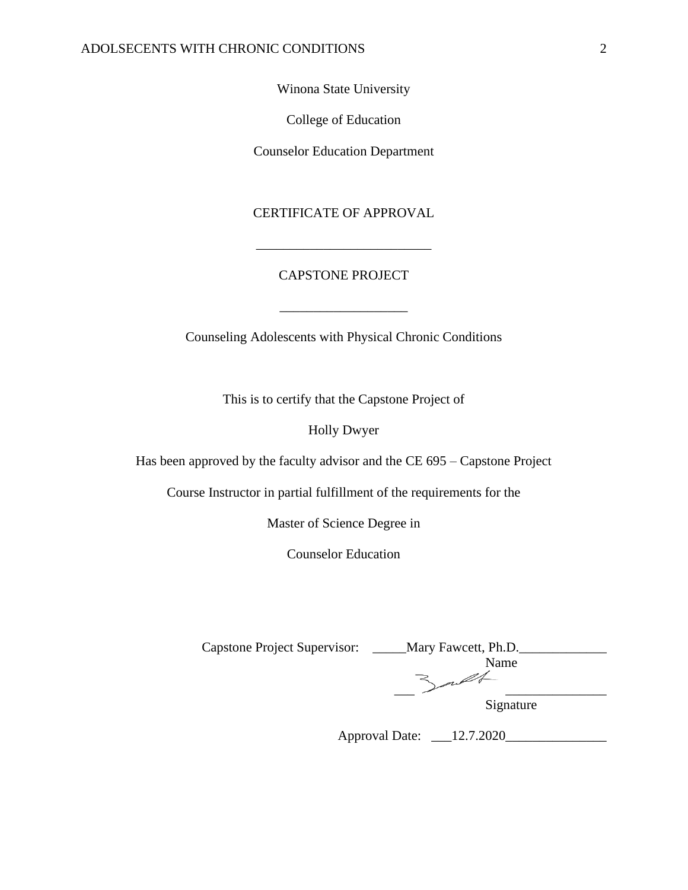Winona State University

College of Education

Counselor Education Department

### CERTIFICATE OF APPROVAL

## CAPSTONE PROJECT

\_\_\_\_\_\_\_\_\_\_\_\_\_\_\_\_\_\_\_

\_\_\_\_\_\_\_\_\_\_\_\_\_\_\_\_\_\_\_\_\_\_\_\_\_\_

Counseling Adolescents with Physical Chronic Conditions

This is to certify that the Capstone Project of

Holly Dwyer

Has been approved by the faculty advisor and the CE 695 – Capstone Project

Course Instructor in partial fulfillment of the requirements for the

Master of Science Degree in

Counselor Education

| <b>Capstone Project Supervisor:</b> | Mary Fawcett, Ph.D. |
|-------------------------------------|---------------------|
|                                     | Name                |
|                                     |                     |
|                                     | Signature           |

| <b>Approval Date:</b> | 12.7.2020 |
|-----------------------|-----------|
|-----------------------|-----------|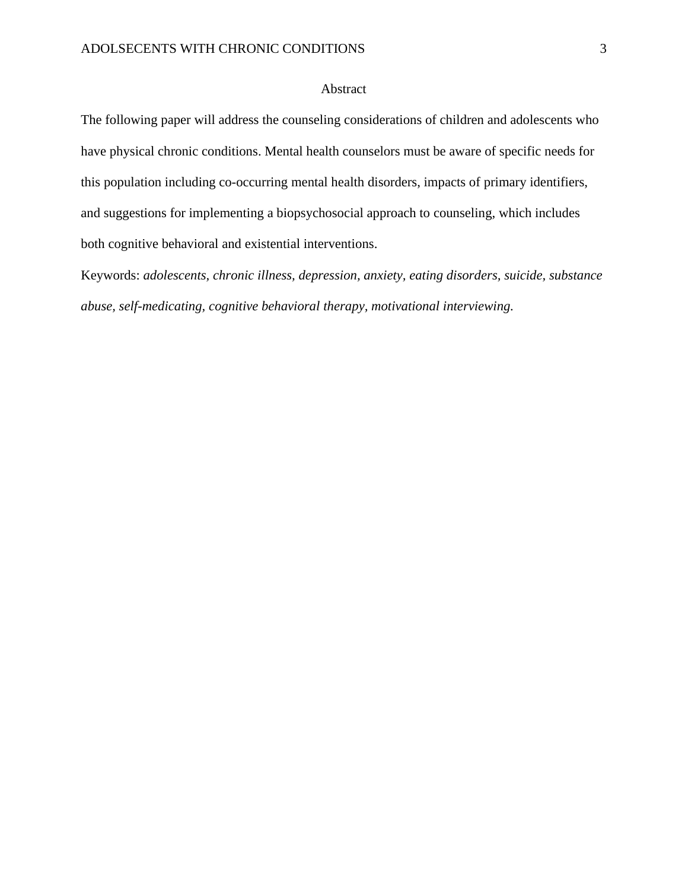### Abstract

The following paper will address the counseling considerations of children and adolescents who have physical chronic conditions. Mental health counselors must be aware of specific needs for this population including co-occurring mental health disorders, impacts of primary identifiers, and suggestions for implementing a biopsychosocial approach to counseling, which includes both cognitive behavioral and existential interventions.

Keywords: *adolescents, chronic illness, depression, anxiety, eating disorders, suicide, substance abuse, self-medicating, cognitive behavioral therapy, motivational interviewing.*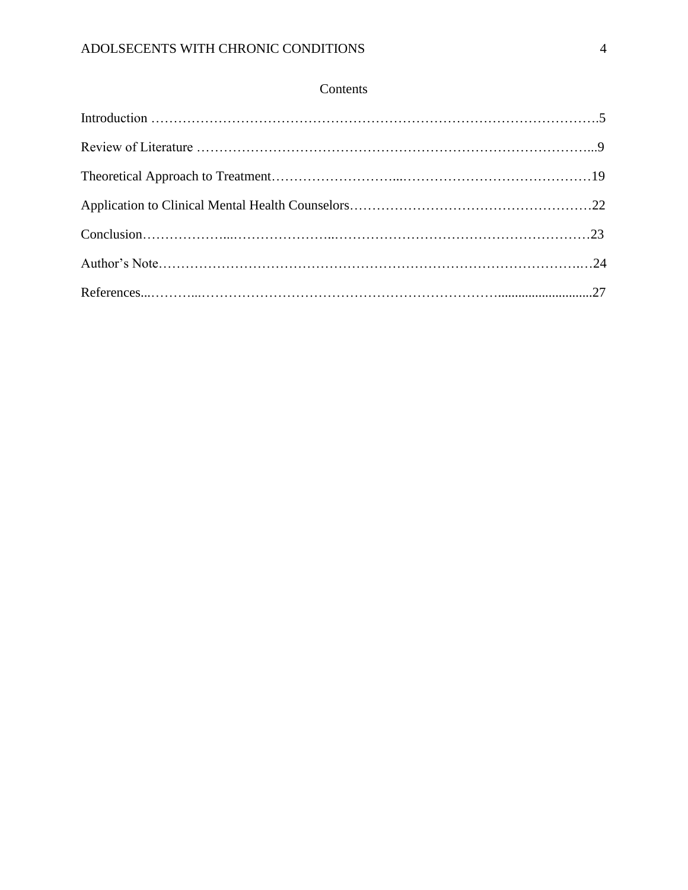## Contents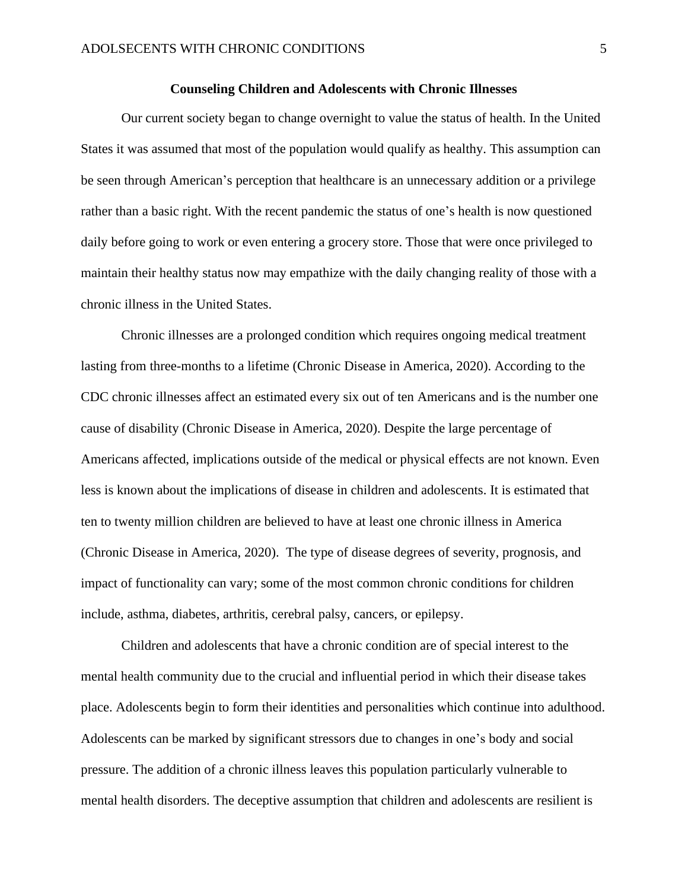#### **Counseling Children and Adolescents with Chronic Illnesses**

Our current society began to change overnight to value the status of health. In the United States it was assumed that most of the population would qualify as healthy. This assumption can be seen through American's perception that healthcare is an unnecessary addition or a privilege rather than a basic right. With the recent pandemic the status of one's health is now questioned daily before going to work or even entering a grocery store. Those that were once privileged to maintain their healthy status now may empathize with the daily changing reality of those with a chronic illness in the United States.

Chronic illnesses are a prolonged condition which requires ongoing medical treatment lasting from three-months to a lifetime (Chronic Disease in America, 2020). According to the CDC chronic illnesses affect an estimated every six out of ten Americans and is the number one cause of disability (Chronic Disease in America, 2020). Despite the large percentage of Americans affected, implications outside of the medical or physical effects are not known. Even less is known about the implications of disease in children and adolescents. It is estimated that ten to twenty million children are believed to have at least one chronic illness in America (Chronic Disease in America, 2020). The type of disease degrees of severity, prognosis, and impact of functionality can vary; some of the most common chronic conditions for children include, asthma, diabetes, arthritis, cerebral palsy, cancers, or epilepsy.

Children and adolescents that have a chronic condition are of special interest to the mental health community due to the crucial and influential period in which their disease takes place. Adolescents begin to form their identities and personalities which continue into adulthood. Adolescents can be marked by significant stressors due to changes in one's body and social pressure. The addition of a chronic illness leaves this population particularly vulnerable to mental health disorders. The deceptive assumption that children and adolescents are resilient is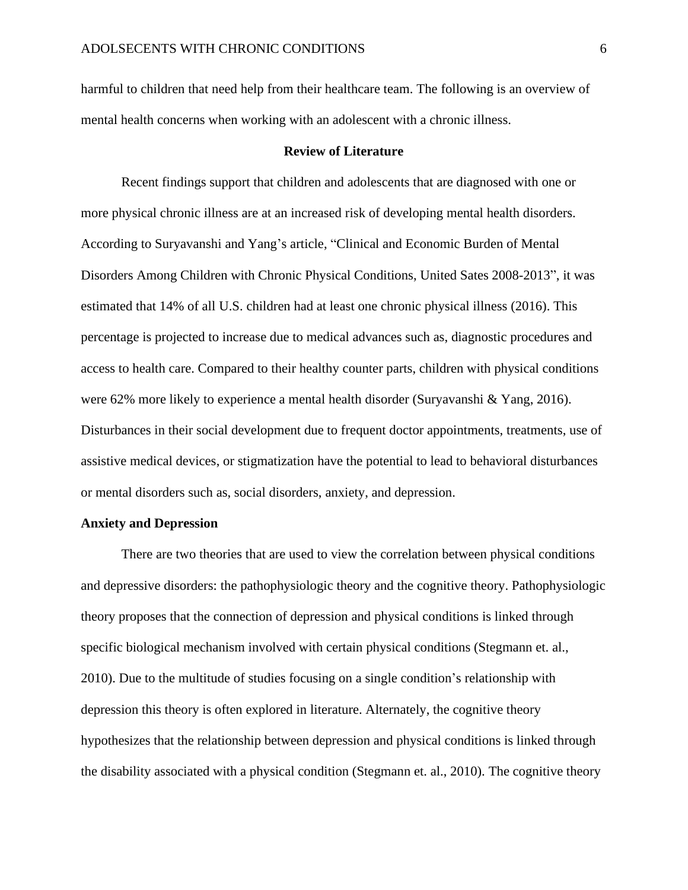harmful to children that need help from their healthcare team. The following is an overview of mental health concerns when working with an adolescent with a chronic illness.

#### **Review of Literature**

Recent findings support that children and adolescents that are diagnosed with one or more physical chronic illness are at an increased risk of developing mental health disorders. According to Suryavanshi and Yang's article, "Clinical and Economic Burden of Mental Disorders Among Children with Chronic Physical Conditions, United Sates 2008-2013", it was estimated that 14% of all U.S. children had at least one chronic physical illness (2016). This percentage is projected to increase due to medical advances such as, diagnostic procedures and access to health care. Compared to their healthy counter parts, children with physical conditions were 62% more likely to experience a mental health disorder (Suryavanshi & Yang, 2016). Disturbances in their social development due to frequent doctor appointments, treatments, use of assistive medical devices, or stigmatization have the potential to lead to behavioral disturbances or mental disorders such as, social disorders, anxiety, and depression.

#### **Anxiety and Depression**

There are two theories that are used to view the correlation between physical conditions and depressive disorders: the pathophysiologic theory and the cognitive theory. Pathophysiologic theory proposes that the connection of depression and physical conditions is linked through specific biological mechanism involved with certain physical conditions (Stegmann et. al., 2010). Due to the multitude of studies focusing on a single condition's relationship with depression this theory is often explored in literature. Alternately, the cognitive theory hypothesizes that the relationship between depression and physical conditions is linked through the disability associated with a physical condition (Stegmann et. al., 2010). The cognitive theory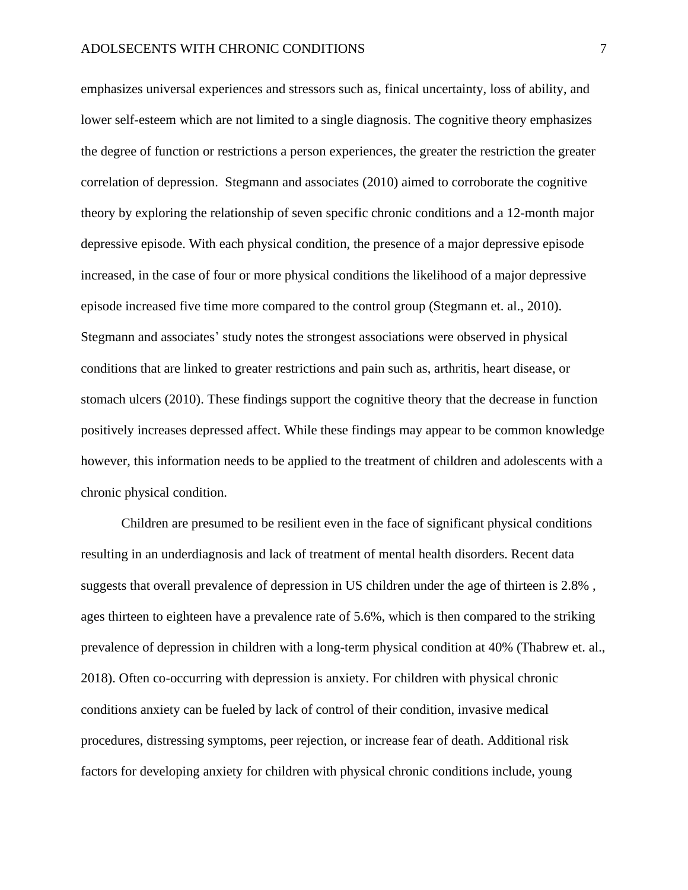emphasizes universal experiences and stressors such as, finical uncertainty, loss of ability, and lower self-esteem which are not limited to a single diagnosis. The cognitive theory emphasizes the degree of function or restrictions a person experiences, the greater the restriction the greater correlation of depression. Stegmann and associates (2010) aimed to corroborate the cognitive theory by exploring the relationship of seven specific chronic conditions and a 12-month major depressive episode. With each physical condition, the presence of a major depressive episode increased, in the case of four or more physical conditions the likelihood of a major depressive episode increased five time more compared to the control group (Stegmann et. al., 2010). Stegmann and associates' study notes the strongest associations were observed in physical conditions that are linked to greater restrictions and pain such as, arthritis, heart disease, or stomach ulcers (2010). These findings support the cognitive theory that the decrease in function positively increases depressed affect. While these findings may appear to be common knowledge however, this information needs to be applied to the treatment of children and adolescents with a chronic physical condition.

Children are presumed to be resilient even in the face of significant physical conditions resulting in an underdiagnosis and lack of treatment of mental health disorders. Recent data suggests that overall prevalence of depression in US children under the age of thirteen is 2.8% , ages thirteen to eighteen have a prevalence rate of 5.6%, which is then compared to the striking prevalence of depression in children with a long-term physical condition at 40% (Thabrew et. al., 2018). Often co-occurring with depression is anxiety. For children with physical chronic conditions anxiety can be fueled by lack of control of their condition, invasive medical procedures, distressing symptoms, peer rejection, or increase fear of death. Additional risk factors for developing anxiety for children with physical chronic conditions include, young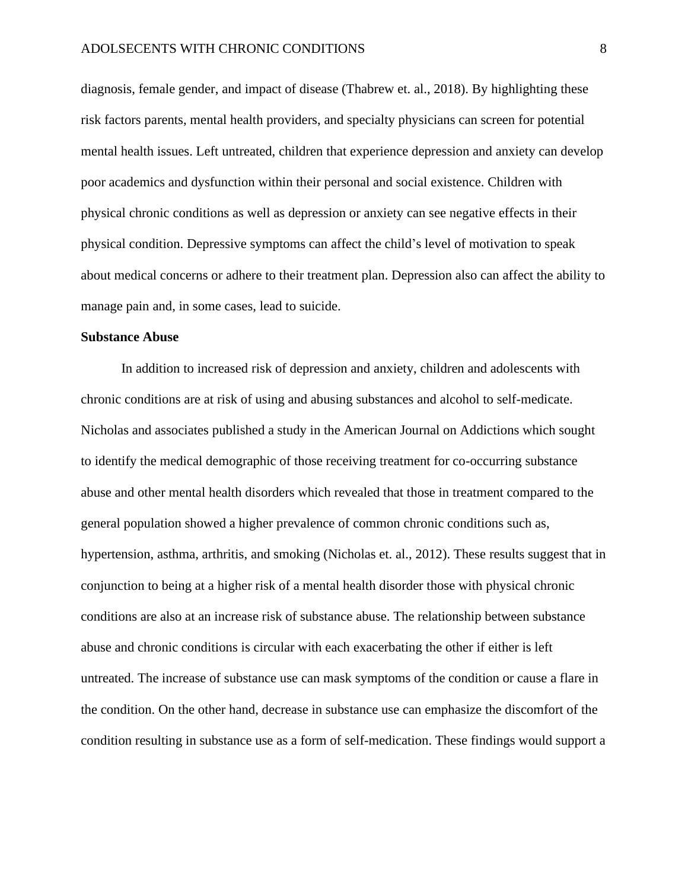diagnosis, female gender, and impact of disease (Thabrew et. al., 2018). By highlighting these risk factors parents, mental health providers, and specialty physicians can screen for potential mental health issues. Left untreated, children that experience depression and anxiety can develop poor academics and dysfunction within their personal and social existence. Children with physical chronic conditions as well as depression or anxiety can see negative effects in their physical condition. Depressive symptoms can affect the child's level of motivation to speak about medical concerns or adhere to their treatment plan. Depression also can affect the ability to manage pain and, in some cases, lead to suicide.

#### **Substance Abuse**

In addition to increased risk of depression and anxiety, children and adolescents with chronic conditions are at risk of using and abusing substances and alcohol to self-medicate. Nicholas and associates published a study in the American Journal on Addictions which sought to identify the medical demographic of those receiving treatment for co-occurring substance abuse and other mental health disorders which revealed that those in treatment compared to the general population showed a higher prevalence of common chronic conditions such as, hypertension, asthma, arthritis, and smoking (Nicholas et. al., 2012). These results suggest that in conjunction to being at a higher risk of a mental health disorder those with physical chronic conditions are also at an increase risk of substance abuse. The relationship between substance abuse and chronic conditions is circular with each exacerbating the other if either is left untreated. The increase of substance use can mask symptoms of the condition or cause a flare in the condition. On the other hand, decrease in substance use can emphasize the discomfort of the condition resulting in substance use as a form of self-medication. These findings would support a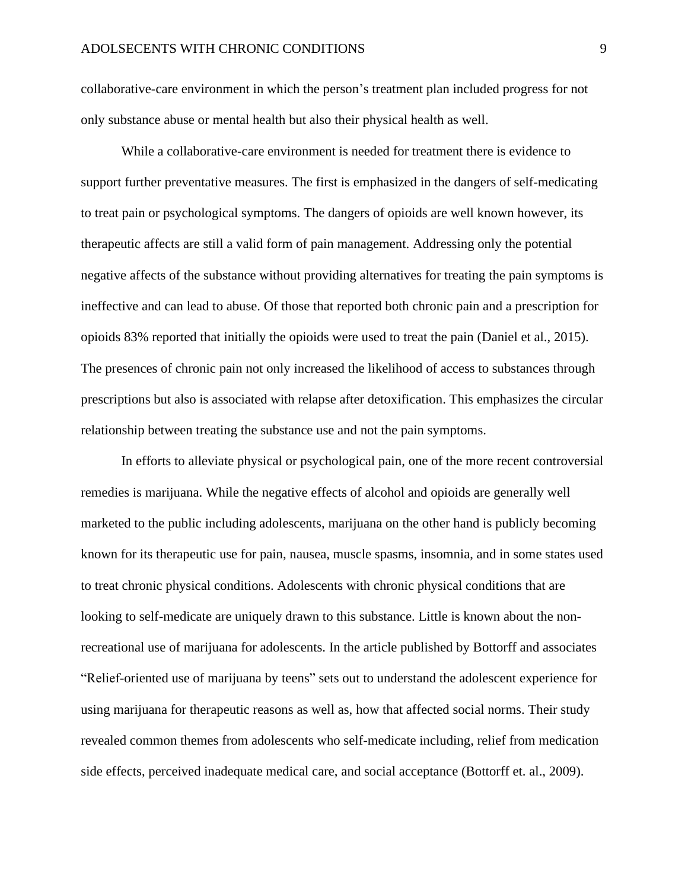collaborative-care environment in which the person's treatment plan included progress for not only substance abuse or mental health but also their physical health as well.

While a collaborative-care environment is needed for treatment there is evidence to support further preventative measures. The first is emphasized in the dangers of self-medicating to treat pain or psychological symptoms. The dangers of opioids are well known however, its therapeutic affects are still a valid form of pain management. Addressing only the potential negative affects of the substance without providing alternatives for treating the pain symptoms is ineffective and can lead to abuse. Of those that reported both chronic pain and a prescription for opioids 83% reported that initially the opioids were used to treat the pain (Daniel et al., 2015). The presences of chronic pain not only increased the likelihood of access to substances through prescriptions but also is associated with relapse after detoxification. This emphasizes the circular relationship between treating the substance use and not the pain symptoms.

In efforts to alleviate physical or psychological pain, one of the more recent controversial remedies is marijuana. While the negative effects of alcohol and opioids are generally well marketed to the public including adolescents, marijuana on the other hand is publicly becoming known for its therapeutic use for pain, nausea, muscle spasms, insomnia, and in some states used to treat chronic physical conditions. Adolescents with chronic physical conditions that are looking to self-medicate are uniquely drawn to this substance. Little is known about the nonrecreational use of marijuana for adolescents. In the article published by Bottorff and associates "Relief-oriented use of marijuana by teens" sets out to understand the adolescent experience for using marijuana for therapeutic reasons as well as, how that affected social norms. Their study revealed common themes from adolescents who self-medicate including, relief from medication side effects, perceived inadequate medical care, and social acceptance (Bottorff et. al., 2009).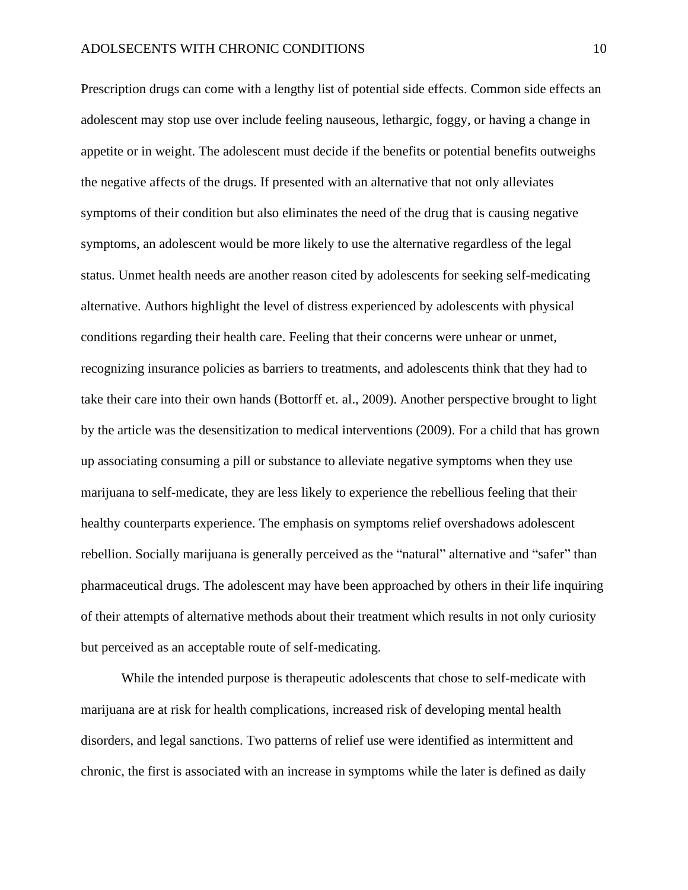Prescription drugs can come with a lengthy list of potential side effects. Common side effects an adolescent may stop use over include feeling nauseous, lethargic, foggy, or having a change in appetite or in weight. The adolescent must decide if the benefits or potential benefits outweighs the negative affects of the drugs. If presented with an alternative that not only alleviates symptoms of their condition but also eliminates the need of the drug that is causing negative symptoms, an adolescent would be more likely to use the alternative regardless of the legal status. Unmet health needs are another reason cited by adolescents for seeking self-medicating alternative. Authors highlight the level of distress experienced by adolescents with physical conditions regarding their health care. Feeling that their concerns were unhear or unmet, recognizing insurance policies as barriers to treatments, and adolescents think that they had to take their care into their own hands (Bottorff et. al., 2009). Another perspective brought to light by the article was the desensitization to medical interventions (2009). For a child that has grown up associating consuming a pill or substance to alleviate negative symptoms when they use marijuana to self-medicate, they are less likely to experience the rebellious feeling that their healthy counterparts experience. The emphasis on symptoms relief overshadows adolescent rebellion. Socially marijuana is generally perceived as the "natural" alternative and "safer" than pharmaceutical drugs. The adolescent may have been approached by others in their life inquiring of their attempts of alternative methods about their treatment which results in not only curiosity but perceived as an acceptable route of self-medicating.

While the intended purpose is therapeutic adolescents that chose to self-medicate with marijuana are at risk for health complications, increased risk of developing mental health disorders, and legal sanctions. Two patterns of relief use were identified as intermittent and chronic, the first is associated with an increase in symptoms while the later is defined as daily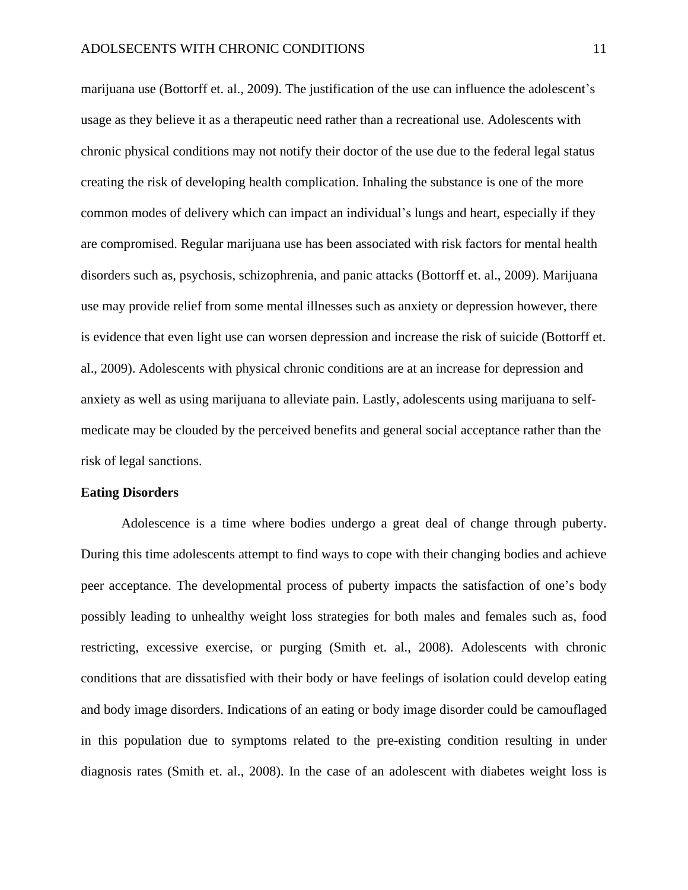marijuana use (Bottorff et. al., 2009). The justification of the use can influence the adolescent's usage as they believe it as a therapeutic need rather than a recreational use. Adolescents with chronic physical conditions may not notify their doctor of the use due to the federal legal status creating the risk of developing health complication. Inhaling the substance is one of the more common modes of delivery which can impact an individual's lungs and heart, especially if they are compromised. Regular marijuana use has been associated with risk factors for mental health disorders such as, psychosis, schizophrenia, and panic attacks (Bottorff et. al., 2009). Marijuana use may provide relief from some mental illnesses such as anxiety or depression however, there is evidence that even light use can worsen depression and increase the risk of suicide (Bottorff et. al., 2009). Adolescents with physical chronic conditions are at an increase for depression and anxiety as well as using marijuana to alleviate pain. Lastly, adolescents using marijuana to selfmedicate may be clouded by the perceived benefits and general social acceptance rather than the risk of legal sanctions.

#### **Eating Disorders**

Adolescence is a time where bodies undergo a great deal of change through puberty. During this time adolescents attempt to find ways to cope with their changing bodies and achieve peer acceptance. The developmental process of puberty impacts the satisfaction of one's body possibly leading to unhealthy weight loss strategies for both males and females such as, food restricting, excessive exercise, or purging (Smith et. al., 2008). Adolescents with chronic conditions that are dissatisfied with their body or have feelings of isolation could develop eating and body image disorders. Indications of an eating or body image disorder could be camouflaged in this population due to symptoms related to the pre-existing condition resulting in under diagnosis rates (Smith et. al., 2008). In the case of an adolescent with diabetes weight loss is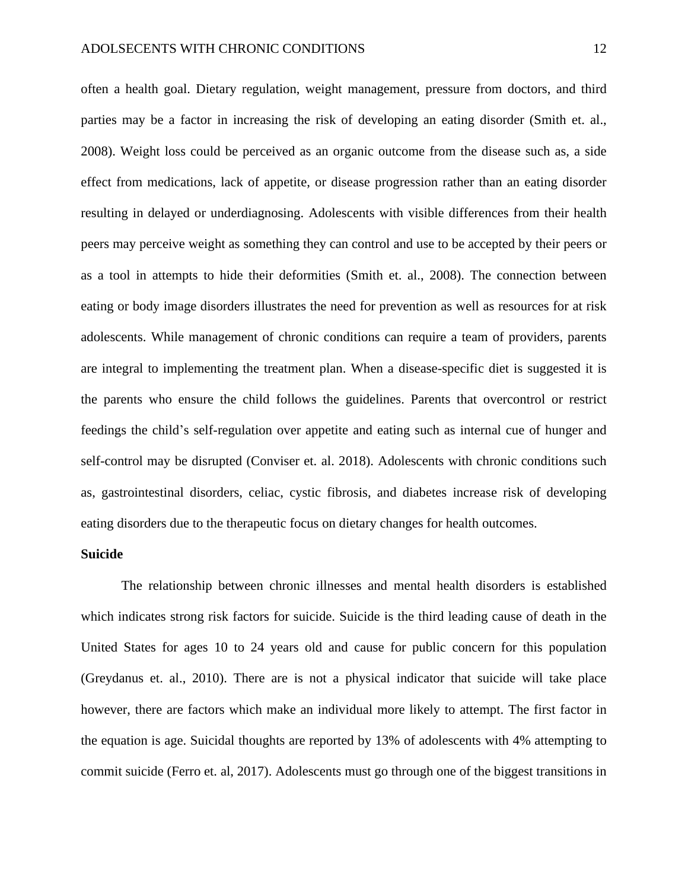often a health goal. Dietary regulation, weight management, pressure from doctors, and third parties may be a factor in increasing the risk of developing an eating disorder (Smith et. al., 2008). Weight loss could be perceived as an organic outcome from the disease such as, a side effect from medications, lack of appetite, or disease progression rather than an eating disorder resulting in delayed or underdiagnosing. Adolescents with visible differences from their health peers may perceive weight as something they can control and use to be accepted by their peers or as a tool in attempts to hide their deformities (Smith et. al., 2008). The connection between eating or body image disorders illustrates the need for prevention as well as resources for at risk adolescents. While management of chronic conditions can require a team of providers, parents are integral to implementing the treatment plan. When a disease-specific diet is suggested it is the parents who ensure the child follows the guidelines. Parents that overcontrol or restrict feedings the child's self-regulation over appetite and eating such as internal cue of hunger and self-control may be disrupted (Conviser et. al. 2018). Adolescents with chronic conditions such as, gastrointestinal disorders, celiac, cystic fibrosis, and diabetes increase risk of developing eating disorders due to the therapeutic focus on dietary changes for health outcomes.

#### **Suicide**

The relationship between chronic illnesses and mental health disorders is established which indicates strong risk factors for suicide. Suicide is the third leading cause of death in the United States for ages 10 to 24 years old and cause for public concern for this population (Greydanus et. al., 2010). There are is not a physical indicator that suicide will take place however, there are factors which make an individual more likely to attempt. The first factor in the equation is age. Suicidal thoughts are reported by 13% of adolescents with 4% attempting to commit suicide (Ferro et. al, 2017). Adolescents must go through one of the biggest transitions in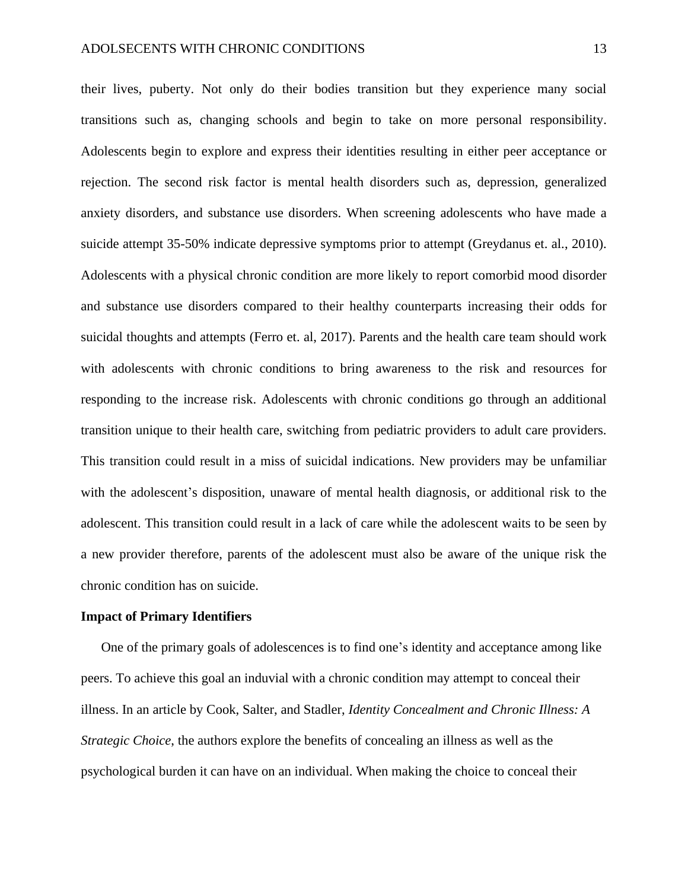their lives, puberty. Not only do their bodies transition but they experience many social transitions such as, changing schools and begin to take on more personal responsibility. Adolescents begin to explore and express their identities resulting in either peer acceptance or rejection. The second risk factor is mental health disorders such as, depression, generalized anxiety disorders, and substance use disorders. When screening adolescents who have made a suicide attempt 35-50% indicate depressive symptoms prior to attempt (Greydanus et. al., 2010). Adolescents with a physical chronic condition are more likely to report comorbid mood disorder and substance use disorders compared to their healthy counterparts increasing their odds for suicidal thoughts and attempts (Ferro et. al, 2017). Parents and the health care team should work with adolescents with chronic conditions to bring awareness to the risk and resources for responding to the increase risk. Adolescents with chronic conditions go through an additional transition unique to their health care, switching from pediatric providers to adult care providers. This transition could result in a miss of suicidal indications. New providers may be unfamiliar with the adolescent's disposition, unaware of mental health diagnosis, or additional risk to the adolescent. This transition could result in a lack of care while the adolescent waits to be seen by a new provider therefore, parents of the adolescent must also be aware of the unique risk the chronic condition has on suicide.

#### **Impact of Primary Identifiers**

One of the primary goals of adolescences is to find one's identity and acceptance among like peers. To achieve this goal an induvial with a chronic condition may attempt to conceal their illness. In an article by Cook, Salter, and Stadler, *Identity Concealment and Chronic Illness: A Strategic Choice*, the authors explore the benefits of concealing an illness as well as the psychological burden it can have on an individual. When making the choice to conceal their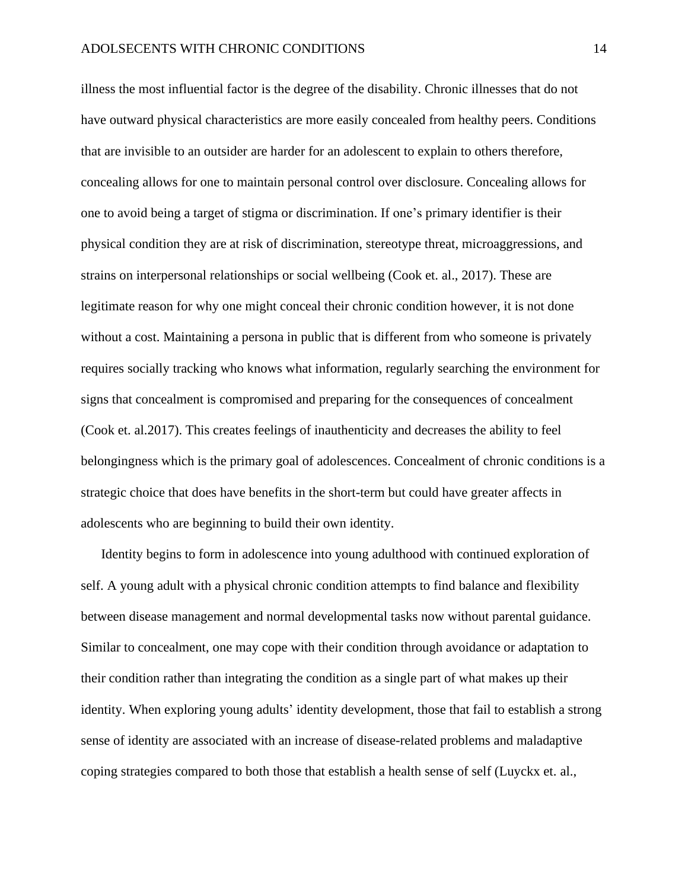illness the most influential factor is the degree of the disability. Chronic illnesses that do not have outward physical characteristics are more easily concealed from healthy peers. Conditions that are invisible to an outsider are harder for an adolescent to explain to others therefore, concealing allows for one to maintain personal control over disclosure. Concealing allows for one to avoid being a target of stigma or discrimination. If one's primary identifier is their physical condition they are at risk of discrimination, stereotype threat, microaggressions, and strains on interpersonal relationships or social wellbeing (Cook et. al., 2017). These are legitimate reason for why one might conceal their chronic condition however, it is not done without a cost. Maintaining a persona in public that is different from who someone is privately requires socially tracking who knows what information, regularly searching the environment for signs that concealment is compromised and preparing for the consequences of concealment (Cook et. al.2017). This creates feelings of inauthenticity and decreases the ability to feel belongingness which is the primary goal of adolescences. Concealment of chronic conditions is a strategic choice that does have benefits in the short-term but could have greater affects in adolescents who are beginning to build their own identity.

Identity begins to form in adolescence into young adulthood with continued exploration of self. A young adult with a physical chronic condition attempts to find balance and flexibility between disease management and normal developmental tasks now without parental guidance. Similar to concealment, one may cope with their condition through avoidance or adaptation to their condition rather than integrating the condition as a single part of what makes up their identity. When exploring young adults' identity development, those that fail to establish a strong sense of identity are associated with an increase of disease-related problems and maladaptive coping strategies compared to both those that establish a health sense of self (Luyckx et. al.,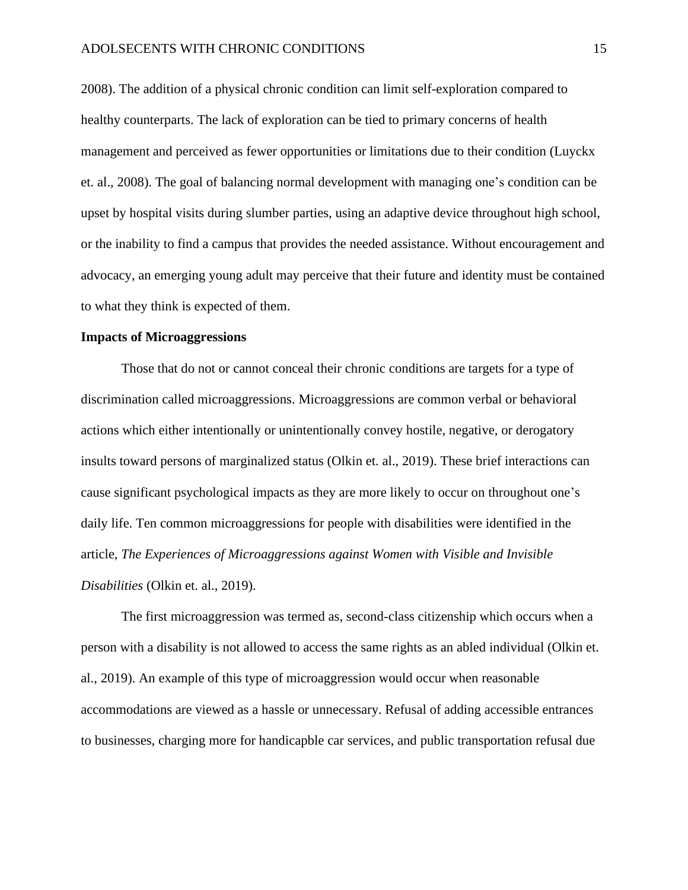#### ADOLSECENTS WITH CHRONIC CONDITIONS 15

2008). The addition of a physical chronic condition can limit self-exploration compared to healthy counterparts. The lack of exploration can be tied to primary concerns of health management and perceived as fewer opportunities or limitations due to their condition (Luyckx et. al., 2008). The goal of balancing normal development with managing one's condition can be upset by hospital visits during slumber parties, using an adaptive device throughout high school, or the inability to find a campus that provides the needed assistance. Without encouragement and advocacy, an emerging young adult may perceive that their future and identity must be contained to what they think is expected of them.

#### **Impacts of Microaggressions**

Those that do not or cannot conceal their chronic conditions are targets for a type of discrimination called microaggressions. Microaggressions are common verbal or behavioral actions which either intentionally or unintentionally convey hostile, negative, or derogatory insults toward persons of marginalized status (Olkin et. al., 2019). These brief interactions can cause significant psychological impacts as they are more likely to occur on throughout one's daily life. Ten common microaggressions for people with disabilities were identified in the article, *The Experiences of Microaggressions against Women with Visible and Invisible Disabilities* (Olkin et. al., 2019).

The first microaggression was termed as, second-class citizenship which occurs when a person with a disability is not allowed to access the same rights as an abled individual (Olkin et. al., 2019). An example of this type of microaggression would occur when reasonable accommodations are viewed as a hassle or unnecessary. Refusal of adding accessible entrances to businesses, charging more for handicapble car services, and public transportation refusal due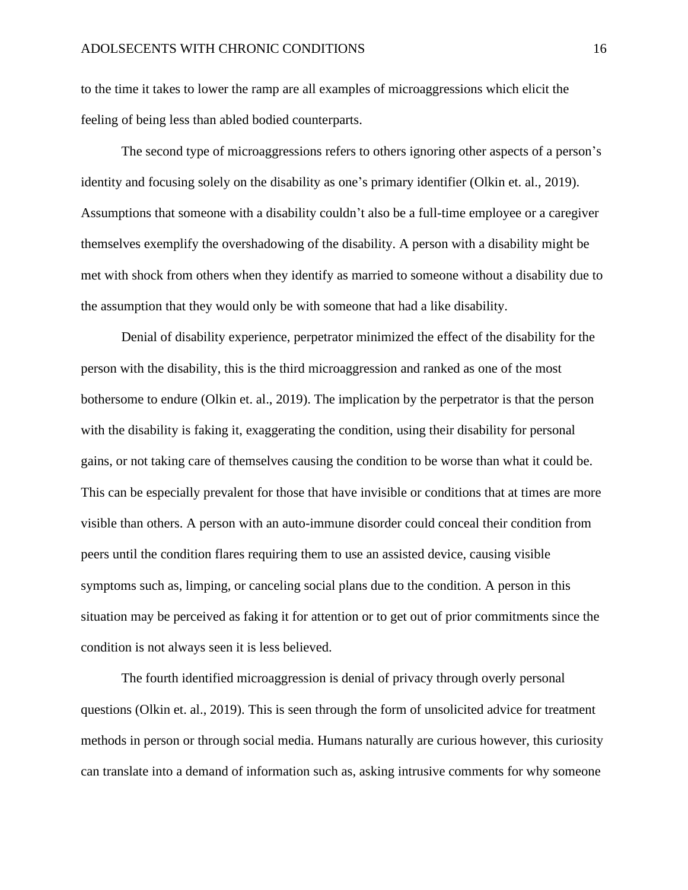to the time it takes to lower the ramp are all examples of microaggressions which elicit the feeling of being less than abled bodied counterparts.

The second type of microaggressions refers to others ignoring other aspects of a person's identity and focusing solely on the disability as one's primary identifier (Olkin et. al., 2019). Assumptions that someone with a disability couldn't also be a full-time employee or a caregiver themselves exemplify the overshadowing of the disability. A person with a disability might be met with shock from others when they identify as married to someone without a disability due to the assumption that they would only be with someone that had a like disability.

Denial of disability experience, perpetrator minimized the effect of the disability for the person with the disability, this is the third microaggression and ranked as one of the most bothersome to endure (Olkin et. al., 2019). The implication by the perpetrator is that the person with the disability is faking it, exaggerating the condition, using their disability for personal gains, or not taking care of themselves causing the condition to be worse than what it could be. This can be especially prevalent for those that have invisible or conditions that at times are more visible than others. A person with an auto-immune disorder could conceal their condition from peers until the condition flares requiring them to use an assisted device, causing visible symptoms such as, limping, or canceling social plans due to the condition. A person in this situation may be perceived as faking it for attention or to get out of prior commitments since the condition is not always seen it is less believed.

The fourth identified microaggression is denial of privacy through overly personal questions (Olkin et. al., 2019). This is seen through the form of unsolicited advice for treatment methods in person or through social media. Humans naturally are curious however, this curiosity can translate into a demand of information such as, asking intrusive comments for why someone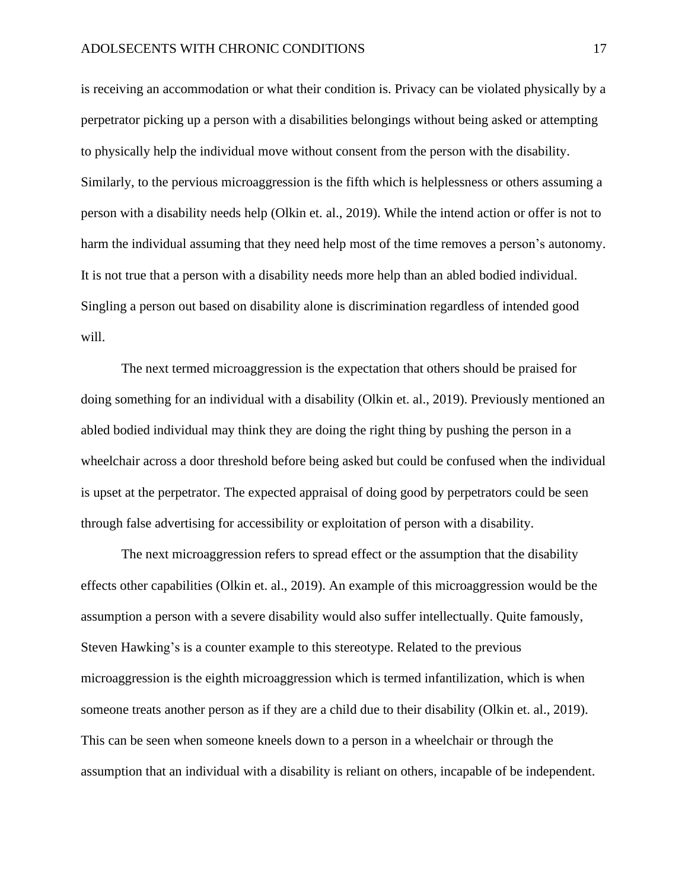is receiving an accommodation or what their condition is. Privacy can be violated physically by a perpetrator picking up a person with a disabilities belongings without being asked or attempting to physically help the individual move without consent from the person with the disability. Similarly, to the pervious microaggression is the fifth which is helplessness or others assuming a person with a disability needs help (Olkin et. al., 2019). While the intend action or offer is not to harm the individual assuming that they need help most of the time removes a person's autonomy. It is not true that a person with a disability needs more help than an abled bodied individual. Singling a person out based on disability alone is discrimination regardless of intended good will.

The next termed microaggression is the expectation that others should be praised for doing something for an individual with a disability (Olkin et. al., 2019). Previously mentioned an abled bodied individual may think they are doing the right thing by pushing the person in a wheelchair across a door threshold before being asked but could be confused when the individual is upset at the perpetrator. The expected appraisal of doing good by perpetrators could be seen through false advertising for accessibility or exploitation of person with a disability.

The next microaggression refers to spread effect or the assumption that the disability effects other capabilities (Olkin et. al., 2019). An example of this microaggression would be the assumption a person with a severe disability would also suffer intellectually. Quite famously, Steven Hawking's is a counter example to this stereotype. Related to the previous microaggression is the eighth microaggression which is termed infantilization, which is when someone treats another person as if they are a child due to their disability (Olkin et. al., 2019). This can be seen when someone kneels down to a person in a wheelchair or through the assumption that an individual with a disability is reliant on others, incapable of be independent.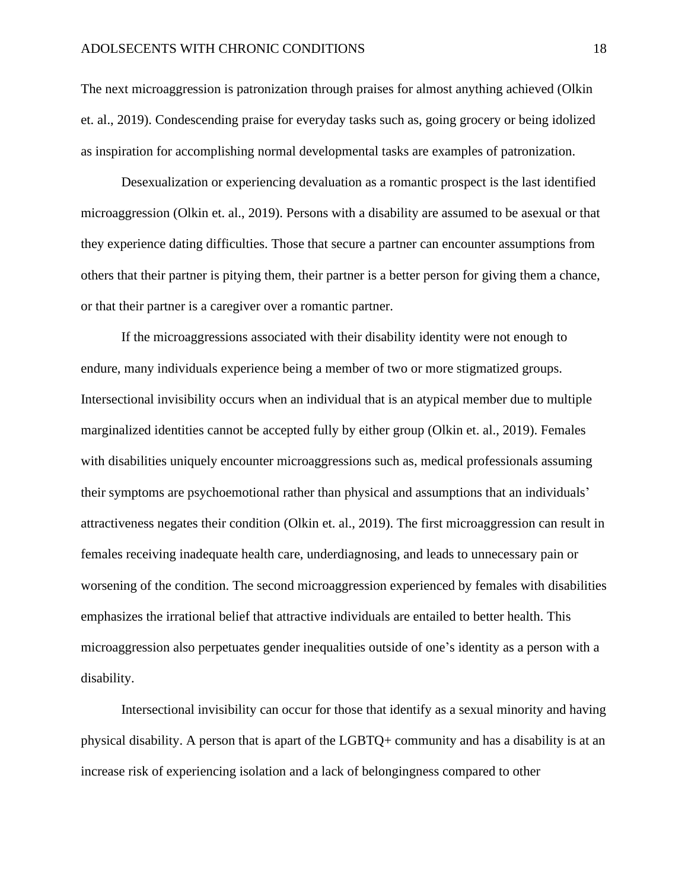The next microaggression is patronization through praises for almost anything achieved (Olkin et. al., 2019). Condescending praise for everyday tasks such as, going grocery or being idolized as inspiration for accomplishing normal developmental tasks are examples of patronization.

Desexualization or experiencing devaluation as a romantic prospect is the last identified microaggression (Olkin et. al., 2019). Persons with a disability are assumed to be asexual or that they experience dating difficulties. Those that secure a partner can encounter assumptions from others that their partner is pitying them, their partner is a better person for giving them a chance, or that their partner is a caregiver over a romantic partner.

If the microaggressions associated with their disability identity were not enough to endure, many individuals experience being a member of two or more stigmatized groups. Intersectional invisibility occurs when an individual that is an atypical member due to multiple marginalized identities cannot be accepted fully by either group (Olkin et. al., 2019). Females with disabilities uniquely encounter microaggressions such as, medical professionals assuming their symptoms are psychoemotional rather than physical and assumptions that an individuals' attractiveness negates their condition (Olkin et. al., 2019). The first microaggression can result in females receiving inadequate health care, underdiagnosing, and leads to unnecessary pain or worsening of the condition. The second microaggression experienced by females with disabilities emphasizes the irrational belief that attractive individuals are entailed to better health. This microaggression also perpetuates gender inequalities outside of one's identity as a person with a disability.

Intersectional invisibility can occur for those that identify as a sexual minority and having physical disability. A person that is apart of the LGBTQ+ community and has a disability is at an increase risk of experiencing isolation and a lack of belongingness compared to other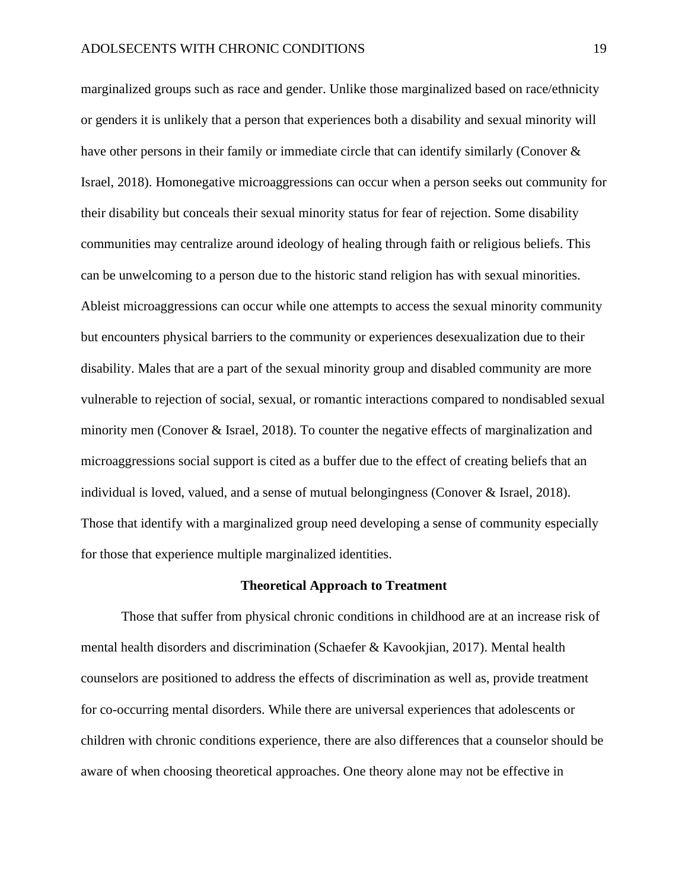marginalized groups such as race and gender. Unlike those marginalized based on race/ethnicity or genders it is unlikely that a person that experiences both a disability and sexual minority will have other persons in their family or immediate circle that can identify similarly (Conover & Israel, 2018). Homonegative microaggressions can occur when a person seeks out community for their disability but conceals their sexual minority status for fear of rejection. Some disability communities may centralize around ideology of healing through faith or religious beliefs. This can be unwelcoming to a person due to the historic stand religion has with sexual minorities. Ableist microaggressions can occur while one attempts to access the sexual minority community but encounters physical barriers to the community or experiences desexualization due to their disability. Males that are a part of the sexual minority group and disabled community are more vulnerable to rejection of social, sexual, or romantic interactions compared to nondisabled sexual minority men (Conover & Israel, 2018). To counter the negative effects of marginalization and microaggressions social support is cited as a buffer due to the effect of creating beliefs that an individual is loved, valued, and a sense of mutual belongingness (Conover & Israel, 2018). Those that identify with a marginalized group need developing a sense of community especially for those that experience multiple marginalized identities.

#### **Theoretical Approach to Treatment**

Those that suffer from physical chronic conditions in childhood are at an increase risk of mental health disorders and discrimination (Schaefer & Kavookjian, 2017). Mental health counselors are positioned to address the effects of discrimination as well as, provide treatment for co-occurring mental disorders. While there are universal experiences that adolescents or children with chronic conditions experience, there are also differences that a counselor should be aware of when choosing theoretical approaches. One theory alone may not be effective in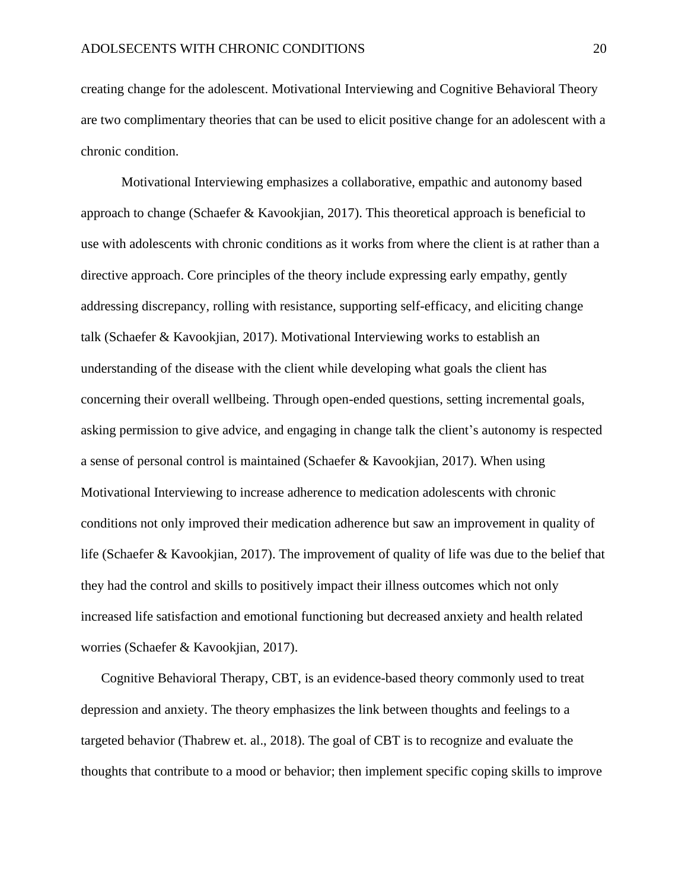creating change for the adolescent. Motivational Interviewing and Cognitive Behavioral Theory are two complimentary theories that can be used to elicit positive change for an adolescent with a chronic condition.

Motivational Interviewing emphasizes a collaborative, empathic and autonomy based approach to change (Schaefer & Kavookjian, 2017). This theoretical approach is beneficial to use with adolescents with chronic conditions as it works from where the client is at rather than a directive approach. Core principles of the theory include expressing early empathy, gently addressing discrepancy, rolling with resistance, supporting self-efficacy, and eliciting change talk (Schaefer & Kavookjian, 2017). Motivational Interviewing works to establish an understanding of the disease with the client while developing what goals the client has concerning their overall wellbeing. Through open-ended questions, setting incremental goals, asking permission to give advice, and engaging in change talk the client's autonomy is respected a sense of personal control is maintained (Schaefer & Kavookjian, 2017). When using Motivational Interviewing to increase adherence to medication adolescents with chronic conditions not only improved their medication adherence but saw an improvement in quality of life (Schaefer & Kavookjian, 2017). The improvement of quality of life was due to the belief that they had the control and skills to positively impact their illness outcomes which not only increased life satisfaction and emotional functioning but decreased anxiety and health related worries (Schaefer & Kavookjian, 2017).

Cognitive Behavioral Therapy, CBT, is an evidence-based theory commonly used to treat depression and anxiety. The theory emphasizes the link between thoughts and feelings to a targeted behavior (Thabrew et. al., 2018). The goal of CBT is to recognize and evaluate the thoughts that contribute to a mood or behavior; then implement specific coping skills to improve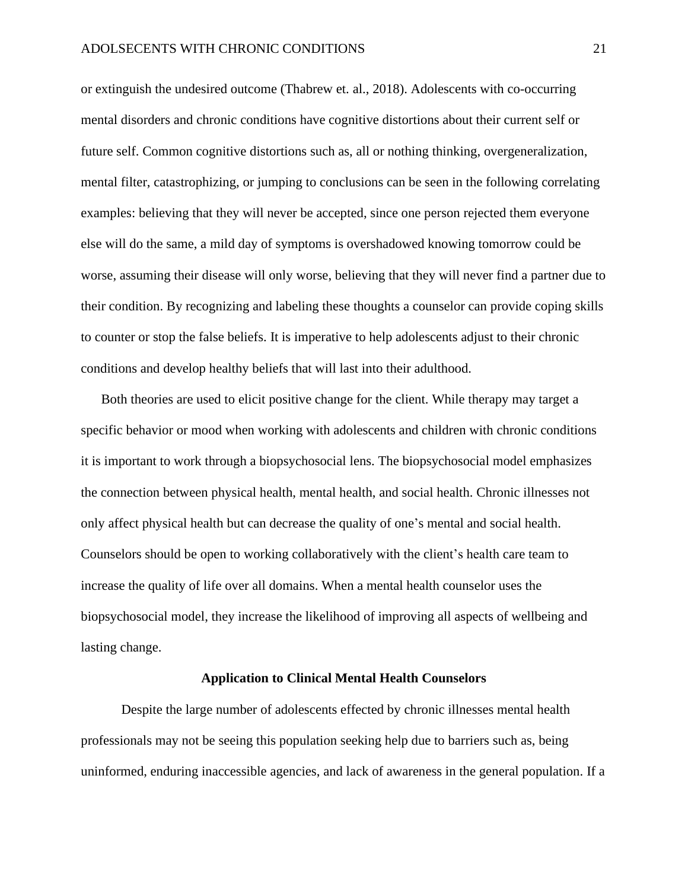or extinguish the undesired outcome (Thabrew et. al., 2018). Adolescents with co-occurring mental disorders and chronic conditions have cognitive distortions about their current self or future self. Common cognitive distortions such as, all or nothing thinking, overgeneralization, mental filter, catastrophizing, or jumping to conclusions can be seen in the following correlating examples: believing that they will never be accepted, since one person rejected them everyone else will do the same, a mild day of symptoms is overshadowed knowing tomorrow could be worse, assuming their disease will only worse, believing that they will never find a partner due to their condition. By recognizing and labeling these thoughts a counselor can provide coping skills to counter or stop the false beliefs. It is imperative to help adolescents adjust to their chronic conditions and develop healthy beliefs that will last into their adulthood.

Both theories are used to elicit positive change for the client. While therapy may target a specific behavior or mood when working with adolescents and children with chronic conditions it is important to work through a biopsychosocial lens. The biopsychosocial model emphasizes the connection between physical health, mental health, and social health. Chronic illnesses not only affect physical health but can decrease the quality of one's mental and social health. Counselors should be open to working collaboratively with the client's health care team to increase the quality of life over all domains. When a mental health counselor uses the biopsychosocial model, they increase the likelihood of improving all aspects of wellbeing and lasting change.

#### **Application to Clinical Mental Health Counselors**

Despite the large number of adolescents effected by chronic illnesses mental health professionals may not be seeing this population seeking help due to barriers such as, being uninformed, enduring inaccessible agencies, and lack of awareness in the general population. If a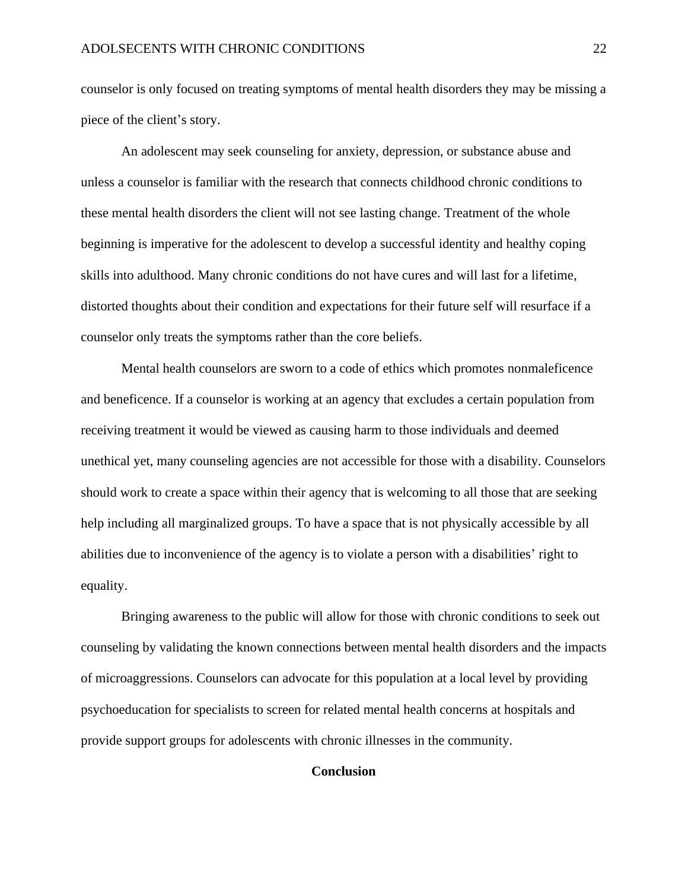counselor is only focused on treating symptoms of mental health disorders they may be missing a piece of the client's story.

An adolescent may seek counseling for anxiety, depression, or substance abuse and unless a counselor is familiar with the research that connects childhood chronic conditions to these mental health disorders the client will not see lasting change. Treatment of the whole beginning is imperative for the adolescent to develop a successful identity and healthy coping skills into adulthood. Many chronic conditions do not have cures and will last for a lifetime, distorted thoughts about their condition and expectations for their future self will resurface if a counselor only treats the symptoms rather than the core beliefs.

Mental health counselors are sworn to a code of ethics which promotes nonmaleficence and beneficence. If a counselor is working at an agency that excludes a certain population from receiving treatment it would be viewed as causing harm to those individuals and deemed unethical yet, many counseling agencies are not accessible for those with a disability. Counselors should work to create a space within their agency that is welcoming to all those that are seeking help including all marginalized groups. To have a space that is not physically accessible by all abilities due to inconvenience of the agency is to violate a person with a disabilities' right to equality.

Bringing awareness to the public will allow for those with chronic conditions to seek out counseling by validating the known connections between mental health disorders and the impacts of microaggressions. Counselors can advocate for this population at a local level by providing psychoeducation for specialists to screen for related mental health concerns at hospitals and provide support groups for adolescents with chronic illnesses in the community.

## **Conclusion**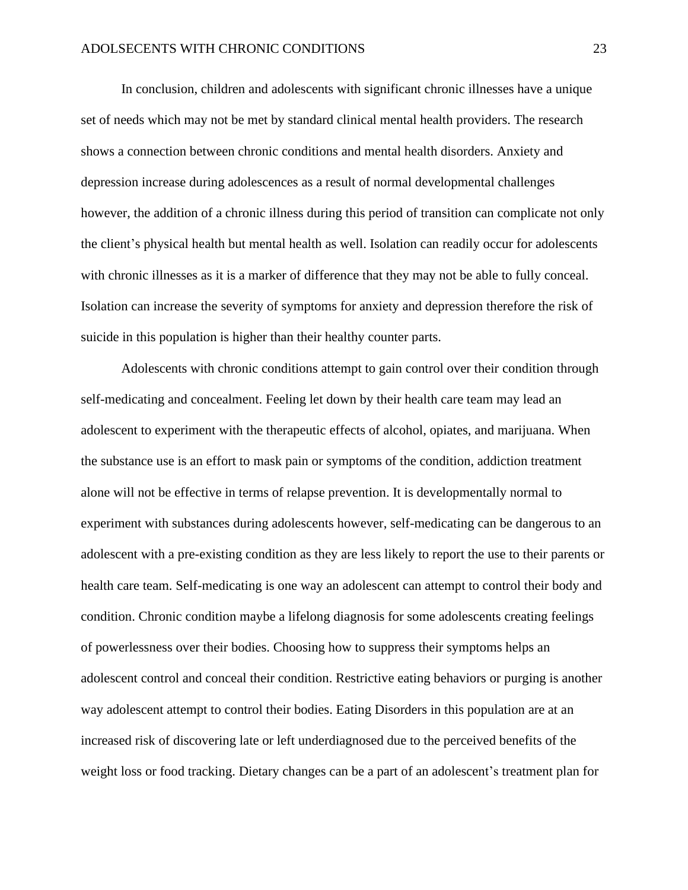In conclusion, children and adolescents with significant chronic illnesses have a unique set of needs which may not be met by standard clinical mental health providers. The research shows a connection between chronic conditions and mental health disorders. Anxiety and depression increase during adolescences as a result of normal developmental challenges however, the addition of a chronic illness during this period of transition can complicate not only the client's physical health but mental health as well. Isolation can readily occur for adolescents with chronic illnesses as it is a marker of difference that they may not be able to fully conceal. Isolation can increase the severity of symptoms for anxiety and depression therefore the risk of suicide in this population is higher than their healthy counter parts.

Adolescents with chronic conditions attempt to gain control over their condition through self-medicating and concealment. Feeling let down by their health care team may lead an adolescent to experiment with the therapeutic effects of alcohol, opiates, and marijuana. When the substance use is an effort to mask pain or symptoms of the condition, addiction treatment alone will not be effective in terms of relapse prevention. It is developmentally normal to experiment with substances during adolescents however, self-medicating can be dangerous to an adolescent with a pre-existing condition as they are less likely to report the use to their parents or health care team. Self-medicating is one way an adolescent can attempt to control their body and condition. Chronic condition maybe a lifelong diagnosis for some adolescents creating feelings of powerlessness over their bodies. Choosing how to suppress their symptoms helps an adolescent control and conceal their condition. Restrictive eating behaviors or purging is another way adolescent attempt to control their bodies. Eating Disorders in this population are at an increased risk of discovering late or left underdiagnosed due to the perceived benefits of the weight loss or food tracking. Dietary changes can be a part of an adolescent's treatment plan for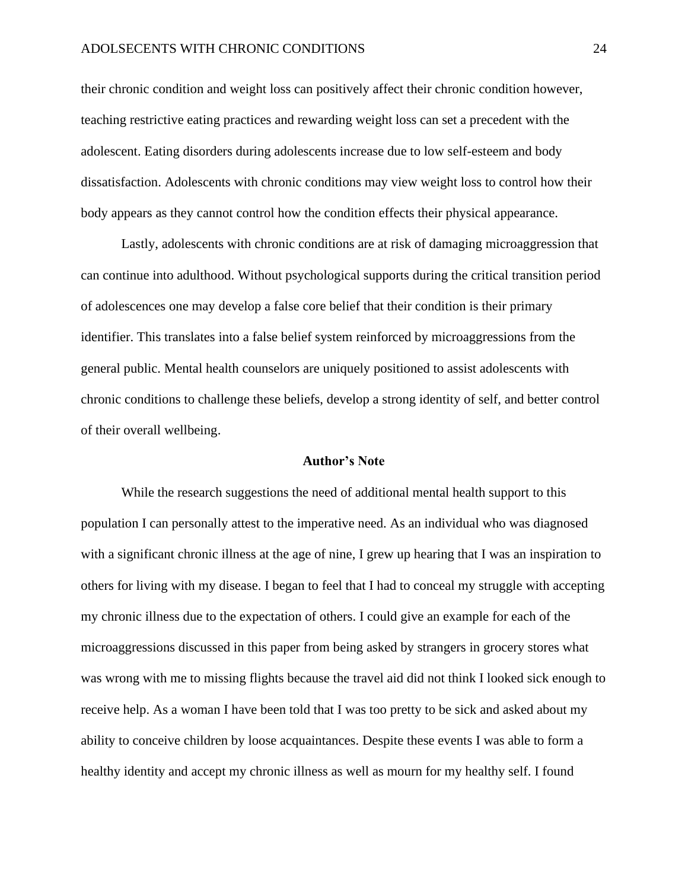#### ADOLSECENTS WITH CHRONIC CONDITIONS 24

their chronic condition and weight loss can positively affect their chronic condition however, teaching restrictive eating practices and rewarding weight loss can set a precedent with the adolescent. Eating disorders during adolescents increase due to low self-esteem and body dissatisfaction. Adolescents with chronic conditions may view weight loss to control how their body appears as they cannot control how the condition effects their physical appearance.

Lastly, adolescents with chronic conditions are at risk of damaging microaggression that can continue into adulthood. Without psychological supports during the critical transition period of adolescences one may develop a false core belief that their condition is their primary identifier. This translates into a false belief system reinforced by microaggressions from the general public. Mental health counselors are uniquely positioned to assist adolescents with chronic conditions to challenge these beliefs, develop a strong identity of self, and better control of their overall wellbeing.

#### **Author's Note**

While the research suggestions the need of additional mental health support to this population I can personally attest to the imperative need. As an individual who was diagnosed with a significant chronic illness at the age of nine, I grew up hearing that I was an inspiration to others for living with my disease. I began to feel that I had to conceal my struggle with accepting my chronic illness due to the expectation of others. I could give an example for each of the microaggressions discussed in this paper from being asked by strangers in grocery stores what was wrong with me to missing flights because the travel aid did not think I looked sick enough to receive help. As a woman I have been told that I was too pretty to be sick and asked about my ability to conceive children by loose acquaintances. Despite these events I was able to form a healthy identity and accept my chronic illness as well as mourn for my healthy self. I found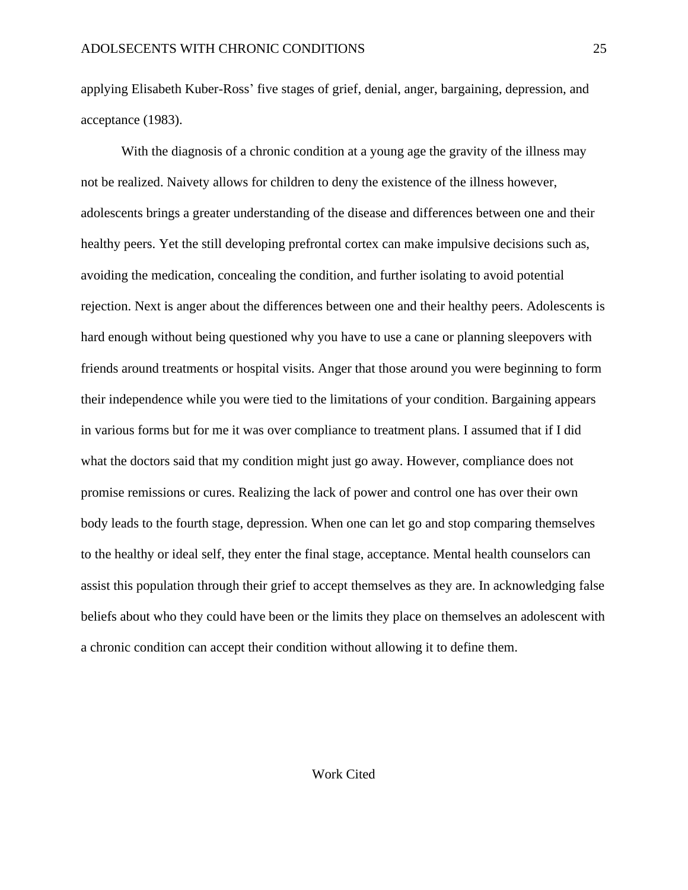applying Elisabeth Kuber-Ross' five stages of grief, denial, anger, bargaining, depression, and acceptance (1983).

With the diagnosis of a chronic condition at a young age the gravity of the illness may not be realized. Naivety allows for children to deny the existence of the illness however, adolescents brings a greater understanding of the disease and differences between one and their healthy peers. Yet the still developing prefrontal cortex can make impulsive decisions such as, avoiding the medication, concealing the condition, and further isolating to avoid potential rejection. Next is anger about the differences between one and their healthy peers. Adolescents is hard enough without being questioned why you have to use a cane or planning sleepovers with friends around treatments or hospital visits. Anger that those around you were beginning to form their independence while you were tied to the limitations of your condition. Bargaining appears in various forms but for me it was over compliance to treatment plans. I assumed that if I did what the doctors said that my condition might just go away. However, compliance does not promise remissions or cures. Realizing the lack of power and control one has over their own body leads to the fourth stage, depression. When one can let go and stop comparing themselves to the healthy or ideal self, they enter the final stage, acceptance. Mental health counselors can assist this population through their grief to accept themselves as they are. In acknowledging false beliefs about who they could have been or the limits they place on themselves an adolescent with a chronic condition can accept their condition without allowing it to define them.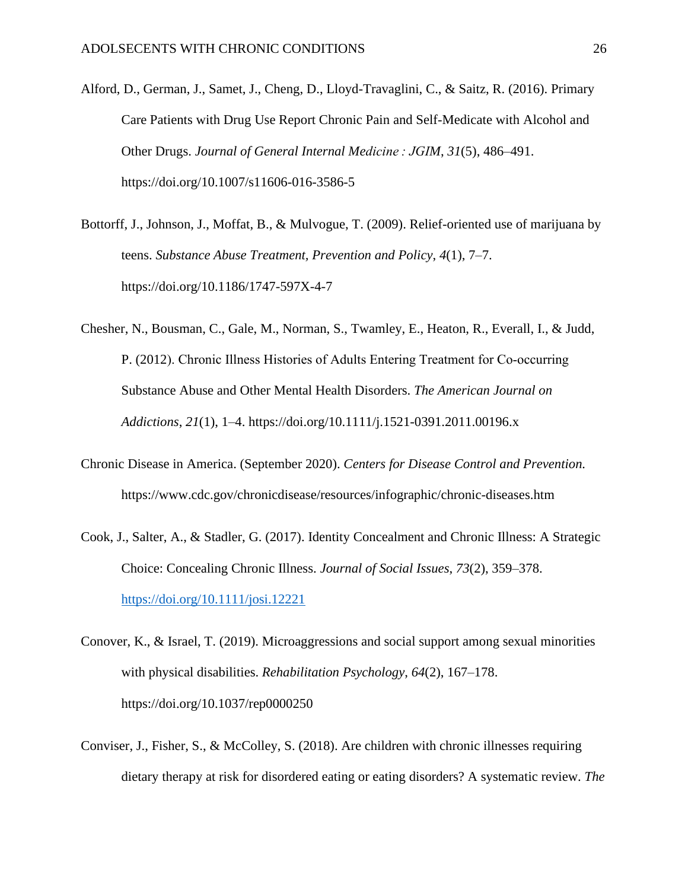- Alford, D., German, J., Samet, J., Cheng, D., Lloyd-Travaglini, C., & Saitz, R. (2016). Primary Care Patients with Drug Use Report Chronic Pain and Self-Medicate with Alcohol and Other Drugs. *Journal of General Internal Medicine : JGIM*, *31*(5), 486–491. https://doi.org/10.1007/s11606-016-3586-5
- Bottorff, J., Johnson, J., Moffat, B., & Mulvogue, T. (2009). Relief-oriented use of marijuana by teens. *Substance Abuse Treatment, Prevention and Policy*, *4*(1), 7–7. https://doi.org/10.1186/1747-597X-4-7
- Chesher, N., Bousman, C., Gale, M., Norman, S., Twamley, E., Heaton, R., Everall, I., & Judd, P. (2012). Chronic Illness Histories of Adults Entering Treatment for Co‐occurring Substance Abuse and Other Mental Health Disorders. *The American Journal on Addictions*, *21*(1), 1–4. https://doi.org/10.1111/j.1521-0391.2011.00196.x
- Chronic Disease in America. (September 2020). *Centers for Disease Control and Prevention.* https://www.cdc.gov/chronicdisease/resources/infographic/chronic-diseases.htm
- Cook, J., Salter, A., & Stadler, G. (2017). Identity Concealment and Chronic Illness: A Strategic Choice: Concealing Chronic Illness. *Journal of Social Issues*, *73*(2), 359–378. <https://doi.org/10.1111/josi.12221>
- Conover, K., & Israel, T. (2019). Microaggressions and social support among sexual minorities with physical disabilities. *Rehabilitation Psychology*, *64*(2), 167–178. https://doi.org/10.1037/rep0000250
- Conviser, J., Fisher, S., & McColley, S. (2018). Are children with chronic illnesses requiring dietary therapy at risk for disordered eating or eating disorders? A systematic review. *The*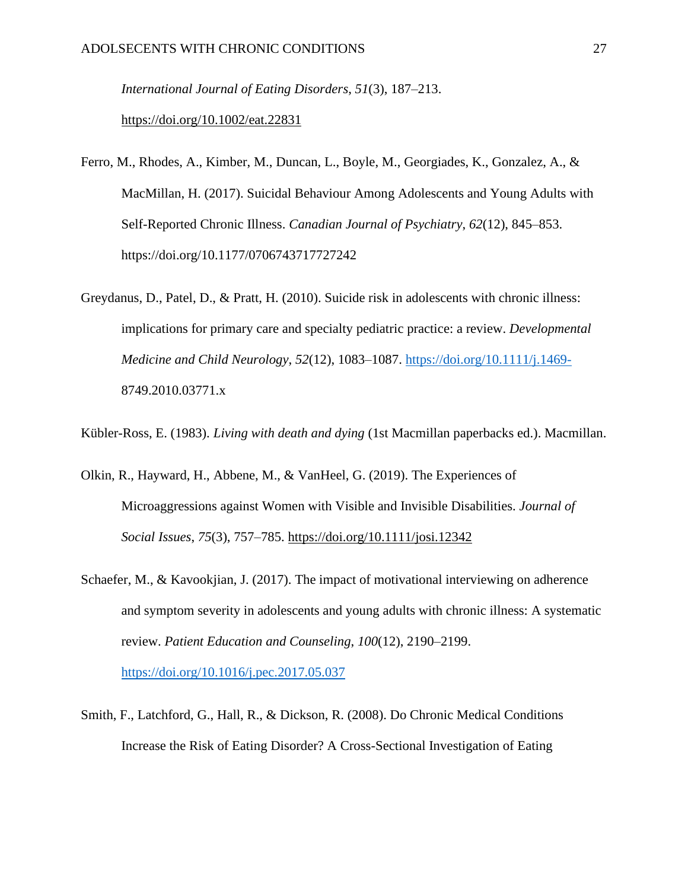*International Journal of Eating Disorders*, *51*(3), 187–213.

<https://doi.org/10.1002/eat.22831>

- Ferro, M., Rhodes, A., Kimber, M., Duncan, L., Boyle, M., Georgiades, K., Gonzalez, A., & MacMillan, H. (2017). Suicidal Behaviour Among Adolescents and Young Adults with Self-Reported Chronic Illness. *Canadian Journal of Psychiatry*, *62*(12), 845–853. https://doi.org/10.1177/0706743717727242
- Greydanus, D., Patel, D., & Pratt, H. (2010). Suicide risk in adolescents with chronic illness: implications for primary care and specialty pediatric practice: a review. *Developmental Medicine and Child Neurology*, *52*(12), 1083–1087.<https://doi.org/10.1111/j.1469-> 8749.2010.03771.x

Kübler-Ross, E. (1983). *Living with death and dying* (1st Macmillan paperbacks ed.). Macmillan.

- Olkin, R., Hayward, H., Abbene, M., & VanHeel, G. (2019). The Experiences of Microaggressions against Women with Visible and Invisible Disabilities. *Journal of Social Issues*, *75*(3), 757–785.<https://doi.org/10.1111/josi.12342>
- Schaefer, M., & Kavookjian, J. (2017). The impact of motivational interviewing on adherence and symptom severity in adolescents and young adults with chronic illness: A systematic review. *Patient Education and Counseling*, *100*(12), 2190–2199. <https://doi.org/10.1016/j.pec.2017.05.037>
- Smith, F., Latchford, G., Hall, R., & Dickson, R. (2008). Do Chronic Medical Conditions Increase the Risk of Eating Disorder? A Cross-Sectional Investigation of Eating